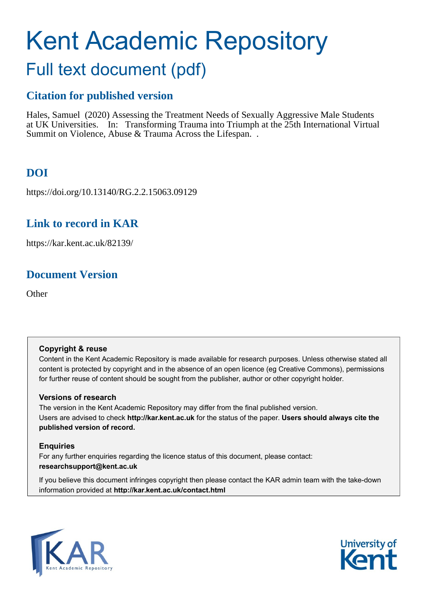# Kent Academic Repository

## Full text document (pdf)

### **Citation for published version**

Hales, Samuel (2020) Assessing the Treatment Needs of Sexually Aggressive Male Students at UK Universities. In: Transforming Trauma into Triumph at the 25th International Virtual Summit on Violence, Abuse & Trauma Across the Lifespan...

### **DOI**

https://doi.org/10.13140/RG.2.2.15063.09129

### **Link to record in KAR**

https://kar.kent.ac.uk/82139/

### **Document Version**

**Other** 

#### **Copyright & reuse**

Content in the Kent Academic Repository is made available for research purposes. Unless otherwise stated all content is protected by copyright and in the absence of an open licence (eg Creative Commons), permissions for further reuse of content should be sought from the publisher, author or other copyright holder.

#### **Versions of research**

The version in the Kent Academic Repository may differ from the final published version. Users are advised to check **http://kar.kent.ac.uk** for the status of the paper. **Users should always cite the published version of record.**

#### **Enquiries**

For any further enquiries regarding the licence status of this document, please contact: **researchsupport@kent.ac.uk**

If you believe this document infringes copyright then please contact the KAR admin team with the take-down information provided at **http://kar.kent.ac.uk/contact.html**